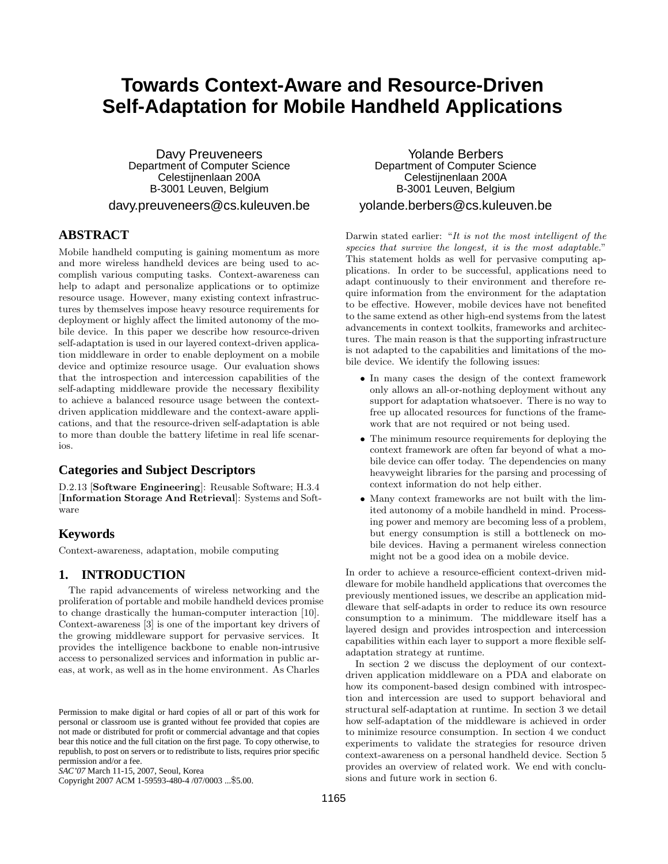# **Towards Context-Aware and Resource-Driven Self-Adaptation for Mobile Handheld Applications**

Davy Preuveneers Department of Computer Science Celestijnenlaan 200A B-3001 Leuven, Belgium davy.preuveneers@cs.kuleuven.be

# **ABSTRACT**

Mobile handheld computing is gaining momentum as more and more wireless handheld devices are being used to accomplish various computing tasks. Context-awareness can help to adapt and personalize applications or to optimize resource usage. However, many existing context infrastructures by themselves impose heavy resource requirements for deployment or highly affect the limited autonomy of the mobile device. In this paper we describe how resource-driven self-adaptation is used in our layered context-driven application middleware in order to enable deployment on a mobile device and optimize resource usage. Our evaluation shows that the introspection and intercession capabilities of the self-adapting middleware provide the necessary flexibility to achieve a balanced resource usage between the contextdriven application middleware and the context-aware applications, and that the resource-driven self-adaptation is able to more than double the battery lifetime in real life scenarios.

# **Categories and Subject Descriptors**

D.2.13 [Software Engineering]: Reusable Software; H.3.4 [Information Storage And Retrieval]: Systems and Software

## **Keywords**

Context-awareness, adaptation, mobile computing

# **1. INTRODUCTION**

The rapid advancements of wireless networking and the proliferation of portable and mobile handheld devices promise to change drastically the human-computer interaction [10]. Context-awareness [3] is one of the important key drivers of the growing middleware support for pervasive services. It provides the intelligence backbone to enable non-intrusive access to personalized services and information in public areas, at work, as well as in the home environment. As Charles

Copyright 2007 ACM 1-59593-480-4 /07/0003 ...\$5.00.

Yolande Berbers Department of Computer Science Celestijnenlaan 200A B-3001 Leuven, Belgium yolande.berbers@cs.kuleuven.be

Darwin stated earlier: "It is not the most intelligent of the species that survive the longest, it is the most adaptable." This statement holds as well for pervasive computing applications. In order to be successful, applications need to adapt continuously to their environment and therefore require information from the environment for the adaptation to be effective. However, mobile devices have not benefited to the same extend as other high-end systems from the latest advancements in context toolkits, frameworks and architectures. The main reason is that the supporting infrastructure is not adapted to the capabilities and limitations of the mobile device. We identify the following issues:

- In many cases the design of the context framework only allows an all-or-nothing deployment without any support for adaptation whatsoever. There is no way to free up allocated resources for functions of the framework that are not required or not being used.
- The minimum resource requirements for deploying the context framework are often far beyond of what a mobile device can offer today. The dependencies on many heavyweight libraries for the parsing and processing of context information do not help either.
- Many context frameworks are not built with the limited autonomy of a mobile handheld in mind. Processing power and memory are becoming less of a problem, but energy consumption is still a bottleneck on mobile devices. Having a permanent wireless connection might not be a good idea on a mobile device.

In order to achieve a resource-efficient context-driven middleware for mobile handheld applications that overcomes the previously mentioned issues, we describe an application middleware that self-adapts in order to reduce its own resource consumption to a minimum. The middleware itself has a layered design and provides introspection and intercession capabilities within each layer to support a more flexible selfadaptation strategy at runtime.

In section 2 we discuss the deployment of our contextdriven application middleware on a PDA and elaborate on how its component-based design combined with introspection and intercession are used to support behavioral and structural self-adaptation at runtime. In section 3 we detail how self-adaptation of the middleware is achieved in order to minimize resource consumption. In section 4 we conduct experiments to validate the strategies for resource driven context-awareness on a personal handheld device. Section 5 provides an overview of related work. We end with conclusions and future work in section 6.

Permission to make digital or hard copies of all or part of this work for personal or classroom use is granted without fee provided that copies are not made or distributed for profit or commercial advantage and that copies bear this notice and the full citation on the first page. To copy otherwise, to republish, to post on servers or to redistribute to lists, requires prior specific permission and/or a fee.

*SAC'07* March 11-15, 2007, Seoul, Korea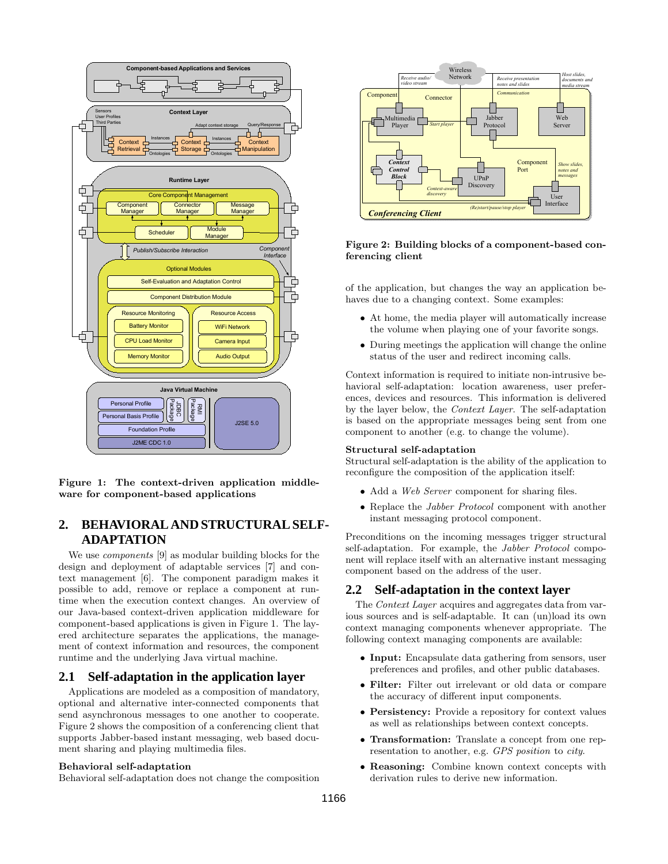

Figure 1: The context-driven application middleware for component-based applications

# **2. BEHAVIORAL AND STRUCTURAL SELF-ADAPTATION**

We use components [9] as modular building blocks for the design and deployment of adaptable services [7] and context management [6]. The component paradigm makes it possible to add, remove or replace a component at runtime when the execution context changes. An overview of our Java-based context-driven application middleware for component-based applications is given in Figure 1. The layered architecture separates the applications, the management of context information and resources, the component runtime and the underlying Java virtual machine.

## **2.1 Self-adaptation in the application layer**

Applications are modeled as a composition of mandatory, optional and alternative inter-connected components that send asynchronous messages to one another to cooperate. Figure 2 shows the composition of a conferencing client that supports Jabber-based instant messaging, web based document sharing and playing multimedia files.

#### Behavioral self-adaptation



### Figure 2: Building blocks of a component-based conferencing client

of the application, but changes the way an application behaves due to a changing context. Some examples:

- At home, the media player will automatically increase the volume when playing one of your favorite songs.
- During meetings the application will change the online status of the user and redirect incoming calls.

Context information is required to initiate non-intrusive behavioral self-adaptation: location awareness, user preferences, devices and resources. This information is delivered by the layer below, the Context Layer. The self-adaptation is based on the appropriate messages being sent from one component to another (e.g. to change the volume).

#### Structural self-adaptation

Structural self-adaptation is the ability of the application to reconfigure the composition of the application itself:

- Add a Web Server component for sharing files.
- Replace the *Jabber Protocol* component with another instant messaging protocol component.

Preconditions on the incoming messages trigger structural self-adaptation. For example, the Jabber Protocol component will replace itself with an alternative instant messaging component based on the address of the user.

#### **2.2 Self-adaptation in the context layer**

The *Context Layer* acquires and aggregates data from various sources and is self-adaptable. It can (un)load its own context managing components whenever appropriate. The following context managing components are available:

- Input: Encapsulate data gathering from sensors, user preferences and profiles, and other public databases.
- Filter: Filter out irrelevant or old data or compare the accuracy of different input components.
- Persistency: Provide a repository for context values as well as relationships between context concepts.
- Transformation: Translate a concept from one representation to another, e.g. GPS position to city.
- Reasoning: Combine known context concepts with derivation rules to derive new information.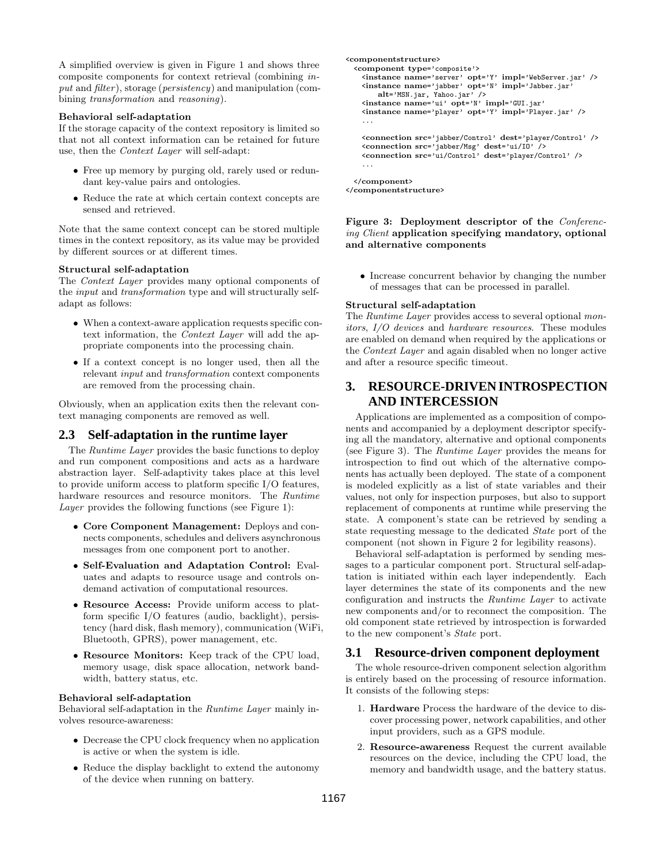A simplified overview is given in Figure 1 and shows three composite components for context retrieval (combining input and filter), storage (persistency) and manipulation (combining transformation and reasoning).

#### Behavioral self-adaptation

If the storage capacity of the context repository is limited so that not all context information can be retained for future use, then the Context Layer will self-adapt:

- Free up memory by purging old, rarely used or redundant key-value pairs and ontologies.
- Reduce the rate at which certain context concepts are sensed and retrieved.

Note that the same context concept can be stored multiple times in the context repository, as its value may be provided by different sources or at different times.

#### Structural self-adaptation

The Context Layer provides many optional components of the input and transformation type and will structurally selfadapt as follows:

- When a context-aware application requests specific context information, the Context Layer will add the appropriate components into the processing chain.
- If a context concept is no longer used, then all the relevant input and transformation context components are removed from the processing chain.

Obviously, when an application exits then the relevant context managing components are removed as well.

## **2.3 Self-adaptation in the runtime layer**

The Runtime Layer provides the basic functions to deploy and run component compositions and acts as a hardware abstraction layer. Self-adaptivity takes place at this level to provide uniform access to platform specific I/O features, hardware resources and resource monitors. The Runtime Layer provides the following functions (see Figure 1):

- Core Component Management: Deploys and connects components, schedules and delivers asynchronous messages from one component port to another.
- Self-Evaluation and Adaptation Control: Evaluates and adapts to resource usage and controls ondemand activation of computational resources.
- Resource Access: Provide uniform access to platform specific I/O features (audio, backlight), persistency (hard disk, flash memory), communication (WiFi, Bluetooth, GPRS), power management, etc.
- Resource Monitors: Keep track of the CPU load, memory usage, disk space allocation, network bandwidth, battery status, etc.

#### Behavioral self-adaptation

Behavioral self-adaptation in the Runtime Layer mainly involves resource-awareness:

- Decrease the CPU clock frequency when no application is active or when the system is idle.
- Reduce the display backlight to extend the autonomy of the device when running on battery.

```
<componentstructure>
 <component type='composite'>
  <instance name='server' opt='Y' impl='WebServer.jar' />
  <instance name='jabber' opt='N' impl='Jabber.jar'
      alt='MSN.jar, Yahoo.jar' />
   <instance name='ui' opt='N' impl='GUI.jar'
  <instance name='player' opt='Y' impl='Player.jar' />
   ...
  <connection src='jabber/Control' dest='player/Control' />
  <connection src='jabber/Msg' dest='ui/IO' />
  <connection src='ui/Control' dest='player/Control' />
   ...
</component>
```
</componentstructure>

Figure 3: Deployment descriptor of the Conferencing Client application specifying mandatory, optional and alternative components

• Increase concurrent behavior by changing the number of messages that can be processed in parallel.

### Structural self-adaptation

The Runtime Layer provides access to several optional monitors, I/O devices and hardware resources. These modules are enabled on demand when required by the applications or the Context Layer and again disabled when no longer active and after a resource specific timeout.

# **3. RESOURCE-DRIVEN INTROSPECTION AND INTERCESSION**

Applications are implemented as a composition of components and accompanied by a deployment descriptor specifying all the mandatory, alternative and optional components (see Figure 3). The Runtime Layer provides the means for introspection to find out which of the alternative components has actually been deployed. The state of a component is modeled explicitly as a list of state variables and their values, not only for inspection purposes, but also to support replacement of components at runtime while preserving the state. A component's state can be retrieved by sending a state requesting message to the dedicated State port of the component (not shown in Figure 2 for legibility reasons).

Behavioral self-adaptation is performed by sending messages to a particular component port. Structural self-adaptation is initiated within each layer independently. Each layer determines the state of its components and the new configuration and instructs the Runtime Layer to activate new components and/or to reconnect the composition. The old component state retrieved by introspection is forwarded to the new component's State port.

### **3.1 Resource-driven component deployment**

The whole resource-driven component selection algorithm is entirely based on the processing of resource information. It consists of the following steps:

- 1. Hardware Process the hardware of the device to discover processing power, network capabilities, and other input providers, such as a GPS module.
- 2. Resource-awareness Request the current available resources on the device, including the CPU load, the memory and bandwidth usage, and the battery status.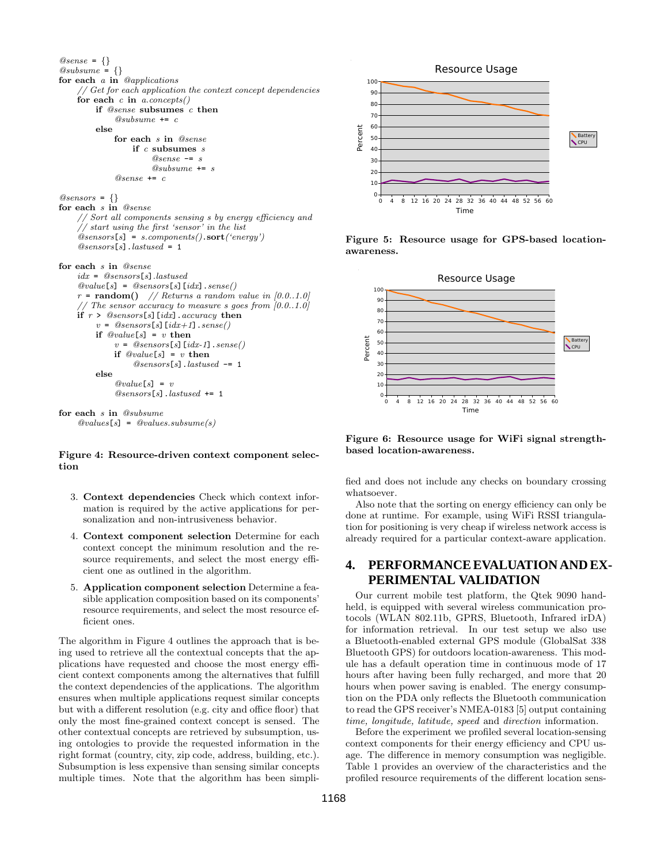

#### Figure 4: Resource-driven context component selection

- 3. Context dependencies Check which context information is required by the active applications for personalization and non-intrusiveness behavior.
- 4. Context component selection Determine for each context concept the minimum resolution and the resource requirements, and select the most energy efficient one as outlined in the algorithm.
- 5. Application component selection Determine a feasible application composition based on its components' resource requirements, and select the most resource efficient ones.

The algorithm in Figure 4 outlines the approach that is being used to retrieve all the contextual concepts that the applications have requested and choose the most energy efficient context components among the alternatives that fulfill the context dependencies of the applications. The algorithm ensures when multiple applications request similar concepts but with a different resolution (e.g. city and office floor) that only the most fine-grained context concept is sensed. The other contextual concepts are retrieved by subsumption, using ontologies to provide the requested information in the right format (country, city, zip code, address, building, etc.). Subsumption is less expensive than sensing similar concepts multiple times. Note that the algorithm has been simpli-



Figure 5: Resource usage for GPS-based locationawareness.



Figure 6: Resource usage for WiFi signal strengthbased location-awareness.

fied and does not include any checks on boundary crossing whatsoever.

Also note that the sorting on energy efficiency can only be done at runtime. For example, using WiFi RSSI triangulation for positioning is very cheap if wireless network access is already required for a particular context-aware application.

# **4. PERFORMANCE EVALUATION AND EX-PERIMENTAL VALIDATION**

Our current mobile test platform, the Qtek 9090 handheld, is equipped with several wireless communication protocols (WLAN 802.11b, GPRS, Bluetooth, Infrared irDA) for information retrieval. In our test setup we also use a Bluetooth-enabled external GPS module (GlobalSat 338 Bluetooth GPS) for outdoors location-awareness. This module has a default operation time in continuous mode of 17 hours after having been fully recharged, and more that 20 hours when power saving is enabled. The energy consumption on the PDA only reflects the Bluetooth communication to read the GPS receiver's NMEA-0183 [5] output containing time, longitude, latitude, speed and direction information.

Before the experiment we profiled several location-sensing context components for their energy efficiency and CPU usage. The difference in memory consumption was negligible. Table 1 provides an overview of the characteristics and the profiled resource requirements of the different location sens-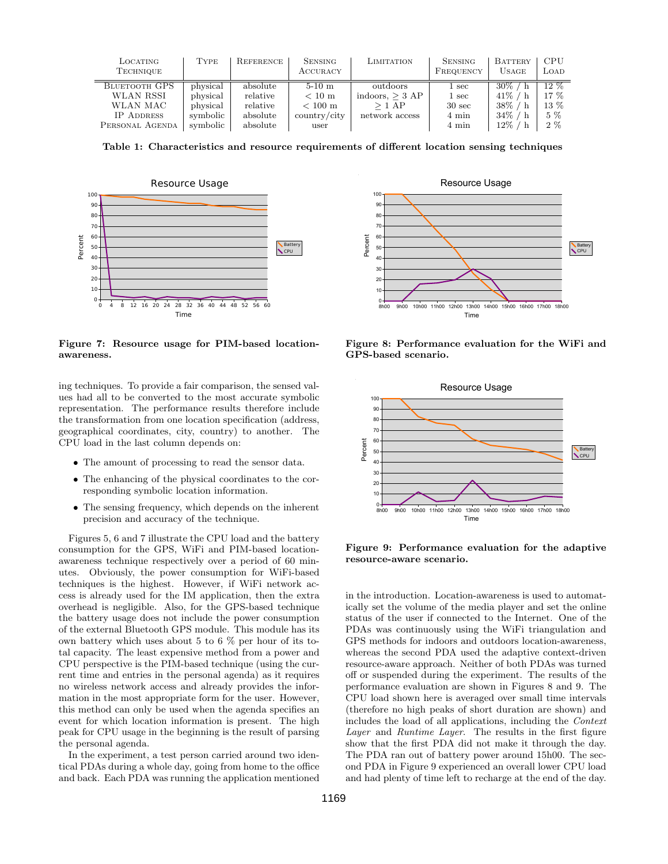| LOCATING<br><b>TECHNIQUE</b> | <b>TYPE</b> | REFERENCE | <b>SENSING</b><br>ACCURACY   | LIMITATION        | <b>SENSING</b><br>FREQUENCY | BATTERY<br><b>USAGE</b> | CPU<br>LOAD |
|------------------------------|-------------|-----------|------------------------------|-------------------|-----------------------------|-------------------------|-------------|
| <b>BLUETOOTH GPS</b>         | physical    | absolute  | $5-10$ m                     | outdoors          | $1~\mathrm{sec}$            | $30\%$ /                | $12\%$      |
| WLAN RSSI                    | physical    | relative  | $< 10 \text{ m}$             | indoors, $>$ 3 AP | $1 \sec$                    | $41\%$ /                | $17\%$      |
| WLAN MAC                     | physical    | relative  | $< 100 \text{ m}$            | $>1$ AP           | $30 \text{ sec}$            | $38\%$ / h              | 13 %        |
| <b>IP ADDRESS</b>            | symbolic    | absolute  | $\text{country}/\text{city}$ | network access    | 4 min                       | $34\%$ / h              | $5\%$       |
| PERSONAL AGENDA              | symbolic    | absolute  | user                         |                   | 4 min                       | $12\%$ /                | 2%          |

Table 1: Characteristics and resource requirements of different location sensing techniques



Figure 7: Resource usage for PIM-based locationawareness.

ing techniques. To provide a fair comparison, the sensed values had all to be converted to the most accurate symbolic representation. The performance results therefore include the transformation from one location specification (address, geographical coordinates, city, country) to another. The CPU load in the last column depends on:

- The amount of processing to read the sensor data.
- The enhancing of the physical coordinates to the corresponding symbolic location information.
- The sensing frequency, which depends on the inherent precision and accuracy of the technique.

Figures 5, 6 and 7 illustrate the CPU load and the battery consumption for the GPS, WiFi and PIM-based locationawareness technique respectively over a period of 60 minutes. Obviously, the power consumption for WiFi-based techniques is the highest. However, if WiFi network access is already used for the IM application, then the extra overhead is negligible. Also, for the GPS-based technique the battery usage does not include the power consumption of the external Bluetooth GPS module. This module has its own battery which uses about 5 to 6 % per hour of its total capacity. The least expensive method from a power and CPU perspective is the PIM-based technique (using the current time and entries in the personal agenda) as it requires no wireless network access and already provides the information in the most appropriate form for the user. However, this method can only be used when the agenda specifies an event for which location information is present. The high peak for CPU usage in the beginning is the result of parsing the personal agenda.

In the experiment, a test person carried around two identical PDAs during a whole day, going from home to the office and back. Each PDA was running the application mentioned



Figure 8: Performance evaluation for the WiFi and GPS-based scenario.



Figure 9: Performance evaluation for the adaptive resource-aware scenario.

in the introduction. Location-awareness is used to automatically set the volume of the media player and set the online status of the user if connected to the Internet. One of the PDAs was continuously using the WiFi triangulation and GPS methods for indoors and outdoors location-awareness, whereas the second PDA used the adaptive context-driven resource-aware approach. Neither of both PDAs was turned off or suspended during the experiment. The results of the performance evaluation are shown in Figures 8 and 9. The CPU load shown here is averaged over small time intervals (therefore no high peaks of short duration are shown) and includes the load of all applications, including the Context Layer and Runtime Layer. The results in the first figure show that the first PDA did not make it through the day. The PDA ran out of battery power around 15h00. The second PDA in Figure 9 experienced an overall lower CPU load and had plenty of time left to recharge at the end of the day.